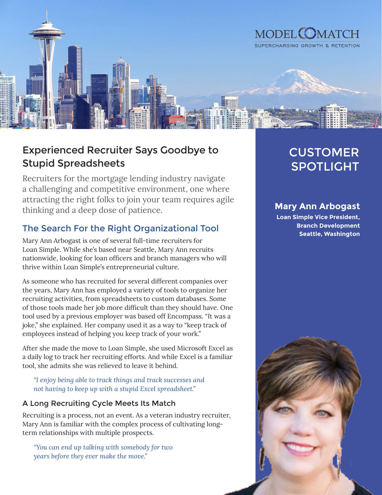

# Experienced Recruiter Says Goodbye to Stupid Spreadsheets

Recruiters for the mortgage lending industry navigate a challenging and competitive environment, one where attracting the right folks to join your team requires agile thinking and a deep dose of patience.

## The Search For the Right Organizational Tool

Mary Ann Arbogast is one of several full-time recruiters for Loan Simple. While she's based near Seattle, Mary Ann recruits nationwide, looking for loan officers and branch managers who will thrive within Loan Simple's entrepreneurial culture.

As someone who has recruited for several different companies over the years, Mary Ann has employed a variety of tools to organize her recruiting activities, from spreadsheets to custom databases. Some of those tools made her job more difficult than they should have. One tool used by a previous employer was based off Encompass. "It was a joke," she explained. Her company used it as a way to "keep track of employees instead of helping you keep track of your work."

After she made the move to Loan Simple, she used Microsoft Excel as a daily log to track her recruiting efforts. And while Excel is a familiar tool, she admits she was relieved to leave it behind.

*"I enjoy being able to track things and track successes and not having to keep up with a stupid Excel spreadsheet."*

### A Long Recruiting Cycle Meets Its Match

Recruiting is a process, not an event. As a veteran industry recruiter, Mary Ann is familiar with the complex process of cultivating longterm relationships with multiple prospects.

*"You can end up talking with somebody for two years before they ever make the move."*

# CUSTOMER SPOTLIGHT

## **Mary Ann Arbogast**

**Loan Simple Vice President, Branch Development Seattle, Washington**